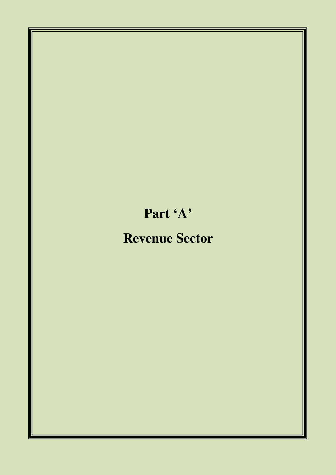# **Part 'A'**

## **Revenue Sector**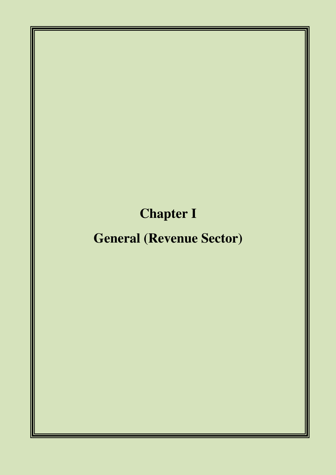# **Chapter I**

## **General (Revenue Sector)**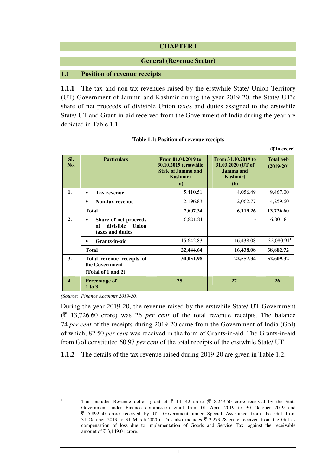## **CHAPTER I**

#### **General (Revenue Sector)**

#### **1.1 Position of revenue receipts**

**1.1.1** The tax and non-tax revenues raised by the erstwhile State/ Union Territory (UT) Government of Jammu and Kashmir during the year 2019-20, the State/ UT's share of net proceeds of divisible Union taxes and duties assigned to the erstwhile State/ UT and Grant-in-aid received from the Government of India during the year are depicted in Table 1.1.

|                  |                                                                       |                                                                                                     |                                                                                 | $(\overline{\mathbf{\mathsf{F}}}$ in crore) |
|------------------|-----------------------------------------------------------------------|-----------------------------------------------------------------------------------------------------|---------------------------------------------------------------------------------|---------------------------------------------|
| SI.<br>No.       | <b>Particulars</b>                                                    | From 01.04.2019 to<br>30.10.2019 (erstwhile<br><b>State of Jammu and</b><br><b>Kashmir</b> )<br>(a) | From 31.10.2019 to<br>31.03.2020 (UT of<br>Jammu and<br><b>Kashmir</b> )<br>(b) | Total $a+b$<br>$(2019-20)$                  |
| 1.               | <b>Tax revenue</b>                                                    | 5,410.51                                                                                            | 4,056.49                                                                        | 9,467.00                                    |
|                  | <b>Non-tax revenue</b><br>٠                                           | 2,196.83                                                                                            | 2,062.77                                                                        | 4,259.60                                    |
|                  | <b>Total</b>                                                          | 7,607.34                                                                                            | 6,119.26                                                                        | 13,726.60                                   |
| $\overline{2}$ . | Share of net proceeds<br>divisible<br>of<br>Union<br>taxes and duties | 6,801.81                                                                                            |                                                                                 | 6,801.81                                    |
|                  | Grants-in-aid<br>$\bullet$                                            | 15,642.83                                                                                           | 16,438.08                                                                       | 32,080.91                                   |
|                  | <b>Total</b>                                                          | 22,444.64                                                                                           | 16,438.08                                                                       | 38,882.72                                   |
| 3.               | Total revenue receipts of<br>the Government<br>(Total of 1 and 2)     | 30,051.98                                                                                           | 22,557.34                                                                       | 52,609.32                                   |
| 4.               | Percentage of<br>$1$ to $3$                                           | 25                                                                                                  | 27                                                                              | 26                                          |

|  |  | Table 1.1: Position of revenue receipts |
|--|--|-----------------------------------------|
|  |  |                                         |

*(Source: Finance Accounts 2019-20)*

During the year 2019-20, the revenue raised by the erstwhile State/ UT Government  $(\bar{\mathcal{R}})$  13,726.60 crore) was 26 *per cent* of the total revenue receipts. The balance 74 *per cent* of the receipts during 2019-20 came from the Government of India (GoI) of which, 82.50 *per cent* was received in the form of Grants-in-aid. The Grants-in-aid from GoI constituted 60.97 *per cent* of the total receipts of the erstwhile State/ UT.

**1.1.2** The details of the tax revenue raised during 2019-20 are given in Table 1.2.

l 1

This includes Revenue deficit grant of  $\bar{\tau}$  14,142 crore ( $\bar{\tau}$  8,249.50 crore received by the State Government under Finance commission grant from 01 April 2019 to 30 October 2019 and ` 5,892.50 crore received by UT Government under Special Assistance from the GoI from 31 October 2019 to 31 March 2020). This also includes  $\bar{\xi}$  2,279.28 crore received from the GoI as compensation of loss due to implementation of Goods and Service Tax, against the receivable amount of  $\bar{\mathfrak{F}}$  3,149.01 crore.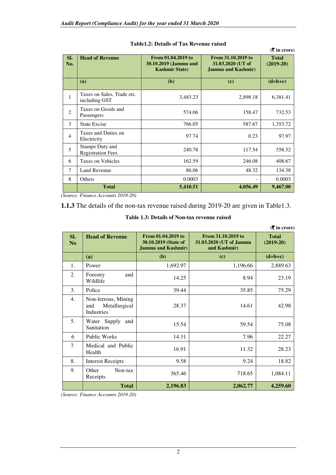|                |                                             |                                                                       |                                                                       | $($ ₹ in crore)             |
|----------------|---------------------------------------------|-----------------------------------------------------------------------|-----------------------------------------------------------------------|-----------------------------|
| SI.<br>No.     | <b>Head of Revenue</b>                      | From 01.04.2019 to<br>30.10.2019 (Jammu and<br><b>Kashmir State</b> ) | From 31.10.2019 to<br>31.03.2020 (UT of<br><b>Jammu and Kashmir</b> ) | <b>Total</b><br>$(2019-20)$ |
|                | (a)                                         | (b)                                                                   | (c)                                                                   | $(d=b+c)$                   |
| $\mathbf{1}$   | Taxes on Sales, Trade etc.<br>including GST | 3,483.23                                                              | 2,898.18                                                              | 6,381.41                    |
| $\overline{2}$ | Taxes on Goods and<br>Passengers            | 574.06                                                                | 158.47                                                                | 732.53                      |
| 3              | <b>State Excise</b>                         | 766.05                                                                | 587.67                                                                | 1,353.72                    |
| $\overline{4}$ | Taxes and Duties on<br>Electricity          | 97.74                                                                 | 0.23                                                                  | 97.97                       |
| 5              | Stamps Duty and<br><b>Registration Fees</b> | 240.78                                                                | 117.54                                                                | 358.32                      |
| 6              | Taxes on Vehicles                           | 162.59                                                                | 246.08                                                                | 408.67                      |
| $\tau$         | <b>Land Revenue</b>                         | 86.06                                                                 | 48.32                                                                 | 134.38                      |
| 8              | Others                                      | 0.0003                                                                |                                                                       | 0.0003                      |
|                | <b>Total</b>                                | 5,410.51                                                              | 4,056.49                                                              | 9,467.00                    |

#### **Table1.2: Details of Tax Revenue raised**

*(Source: Finance Accounts 2019-20)* 

**1.1.3** The details of the non-tax revenue raised during 2019-20 are given in Table1.3.

|           |                                                           |                                                                         |                                                               | $(\overline{\mathbf{\overline{z}}}$ in crore) |
|-----------|-----------------------------------------------------------|-------------------------------------------------------------------------|---------------------------------------------------------------|-----------------------------------------------|
| SI.<br>No | <b>Head of Revenue</b>                                    | From 01.04.2019 to<br>30.10.2019 (State of<br><b>Jammu and Kashmir)</b> | From 31.10.2019 to<br>31.03.2020 (UT of Jammu<br>and Kashmir) | <b>Total</b><br>$(2019-20)$                   |
|           | (a)                                                       | (b)                                                                     | (c)                                                           | $(d=b+c)$                                     |
| 1.        | Power                                                     | 1,692.97                                                                | 1,196.66                                                      | 2,889.63                                      |
| 2.        | Forestry<br>and<br>Wildlife                               | 14.25                                                                   | 8.94                                                          | 23.19                                         |
| 3.        | Police                                                    | 39.44                                                                   | 35.85                                                         | 75.29                                         |
| 4.        | Non-ferrous, Mining<br>Metallurgical<br>and<br>Industries | 28.37                                                                   | 14.61                                                         | 42.98                                         |
| 5.        | Water Supply<br>and<br>Sanitation                         | 15.54                                                                   | 59.54                                                         | 75.08                                         |
| 6         | <b>Public Works</b>                                       | 14.31                                                                   | 7.96                                                          | 22.27                                         |
| 7.        | Medical and Public<br>Health                              | 16.91                                                                   | 11.32                                                         | 28.23                                         |
| 8.        | <b>Interest Receipts</b>                                  | 9.58                                                                    | 9.24                                                          | 18.82                                         |
| 9.        | Other<br>Non-tax<br>Receipts                              | 365.46                                                                  | 718.65                                                        | 1,084.11                                      |

#### **Table 1.3: Details of Non-tax revenue raised**

*(Source: Finance Accounts 2019-20)* 

Total 2,196.83 2,062.77 4,259.60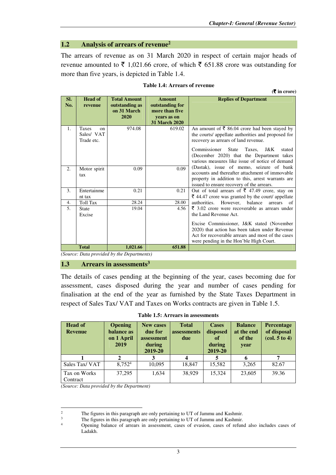## **1.2 Analysis of arrears of revenue<sup>2</sup>**

The arrears of revenue as on 31 March 2020 in respect of certain major heads of revenue amounted to  $\bar{\tau}$  1,021.66 crore, of which  $\bar{\tau}$  651.88 crore was outstanding for more than five years, is depicted in Table 1.4.

|  |  |  |  | <b>Table 1.4: Arrears of revenue</b> |
|--|--|--|--|--------------------------------------|
|--|--|--|--|--------------------------------------|

**(**` **in crore)** 

| SI.<br>No. | <b>Head of</b><br>revenue                               | <b>Total Amount</b><br>outstanding as<br>on 31 March<br>2020 | <b>Amount</b><br>outstanding for<br>more than five<br>vears as on<br><b>31 March 2020</b> | <b>Replies of Department</b>                                                                                                                                                                                                                                                                           |
|------------|---------------------------------------------------------|--------------------------------------------------------------|-------------------------------------------------------------------------------------------|--------------------------------------------------------------------------------------------------------------------------------------------------------------------------------------------------------------------------------------------------------------------------------------------------------|
| 1.         | <b>Taxes</b><br>$_{\rm on}$<br>Sales/ VAT<br>Trade etc. | 974.08                                                       | 619.02                                                                                    | An amount of $\bar{\xi}$ 86.04 crore had been stayed by<br>the courts/ appellate authorities and proposed for<br>recovery as arrears of land revenue.<br>Commissioner State<br>Taxes,<br>J&K<br>stated<br>(December 2020) that the Department takes<br>various measures like issue of notice of demand |
| 2.         | Motor spirit<br>tax                                     | 0.09                                                         | 0.09                                                                                      | (Dastak), issue of memo, seizure of bank<br>accounts and thereafter attachment of immovable<br>property in addition to this, arrest warrants are<br>issued to ensure recovery of the arrears.                                                                                                          |
| 3.         | Entertainme<br>nt tax                                   | 0.21                                                         | 0.21                                                                                      | Out of total arrears of $\overline{\xi}$ 47.49 crore, stay on<br>₹ 44.47 crore was granted by the court/ appellate                                                                                                                                                                                     |
| 4.         | Toll Tax                                                | 28.24                                                        | 28.00                                                                                     | authorities.<br>However, balance<br>arrears<br>of                                                                                                                                                                                                                                                      |
| 5.         | <b>State</b><br>Excise                                  | 19.04                                                        | 4.56                                                                                      | $\bar{\xi}$ 3.02 crore were recoverable as arrears under<br>the Land Revenue Act.<br>Excise Commissioner, J&K stated (November<br>2020) that action has been taken under Revenue<br>Act for recoverable arrears and most of the cases<br>were pending in the Hon'ble High Court.                       |
|            | <b>Total</b>                                            | 1,021.66                                                     | 651.88                                                                                    |                                                                                                                                                                                                                                                                                                        |

*(Source: Data provided by the Departments)* 

#### **1.3 Arrears in assessments<sup>3</sup>**

The details of cases pending at the beginning of the year, cases becoming due for assessment, cases disposed during the year and number of cases pending for finalisation at the end of the year as furnished by the State Taxes Department in respect of Sales Tax/ VAT and Taxes on Works contracts are given in Table 1.5.

| <b>Head of</b><br><b>Revenue</b> | <b>Opening</b><br>balance as<br>on 1 April<br>2019 | <b>New cases</b><br>due for<br>assessment<br>during<br>2019-20 | <b>Total</b><br>assessments<br>due | <b>Cases</b><br>disposed<br>of<br>during<br>2019-20 | <b>Balance</b><br>at the end<br>of the<br>year | <b>Percentage</b><br>of disposal<br>$\left( \text{col. } 5 \text{ to } 4 \right)$ |
|----------------------------------|----------------------------------------------------|----------------------------------------------------------------|------------------------------------|-----------------------------------------------------|------------------------------------------------|-----------------------------------------------------------------------------------|
|                                  |                                                    |                                                                |                                    |                                                     |                                                |                                                                                   |
| Sales Tax/VAT                    | 8,7524                                             | 10,095                                                         | 18.847                             | 15,582                                              | 3,265                                          | 82.67                                                                             |
| Tax on Works<br>Contract         | 37,295                                             | 1,634                                                          | 38,929                             | 15.324                                              | 23,605                                         | 39.36                                                                             |

**Table 1.5: Arrears in assessments** 

*(Source: Data provided by the Department)*

 $\overline{a}$ 

 $\gamma$ The figures in this paragraph are only pertaining to UT of Jammu and Kashmir.

<sup>3</sup> The figures in this paragraph are only pertaining to UT of Jammu and Kashmir.

<sup>4</sup> Opening balance of arrears in assessment, cases of evasion, cases of refund also includes cases of Ladakh.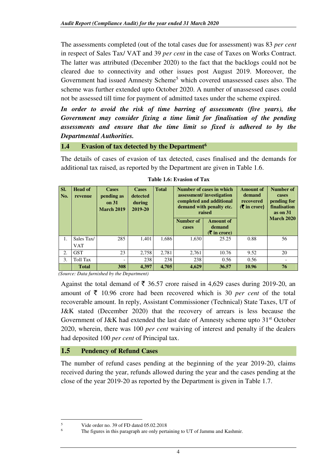The assessments completed (out of the total cases due for assessment) was 83 *per cent* in respect of Sales Tax/ VAT and 39 *per cent* in the case of Taxes on Works Contract. The latter was attributed (December 2020) to the fact that the backlogs could not be cleared due to connectivity and other issues post August 2019. Moreover, the Government had issued Amnesty Scheme<sup>5</sup> which covered unassessed cases also. The scheme was further extended upto October 2020. A number of unassessed cases could not be assessed till time for payment of admitted taxes under the scheme expired.

*In order to avoid the risk of time barring of assessments (five years), the Government may consider fixing a time limit for finalisation of the pending assessments and ensure that the time limit so fixed is adhered to by the Departmental Authorities.* 

## **1.4 Evasion of tax detected by the Department<sup>6</sup>**

The details of cases of evasion of tax detected, cases finalised and the demands for additional tax raised, as reported by the Department are given in Table 1.6.

| SI.<br>No. | <b>Head of</b><br>revenue | <b>Cases</b><br>pending as<br>on $31$<br><b>March 2019</b> | <b>Cases</b><br>detected<br>during<br>2019-20 | <b>Total</b> | Number of cases in which<br>assessment/investigation<br>completed and additional<br>demand with penalty etc.<br>raised |                                       | Amount of<br>demand<br>recovered<br>$(\bar{\bar{\mathbf{x}}}$ in crore) | Number of<br>cases<br>pending for<br>finalisation<br>as on $31$<br><b>March 2020</b> |
|------------|---------------------------|------------------------------------------------------------|-----------------------------------------------|--------------|------------------------------------------------------------------------------------------------------------------------|---------------------------------------|-------------------------------------------------------------------------|--------------------------------------------------------------------------------------|
|            |                           |                                                            |                                               |              | Number of<br>cases                                                                                                     | Amount of<br>demand<br>$(5 \times 1)$ |                                                                         |                                                                                      |
| 1.         | Sales Tax/<br><b>VAT</b>  | 285                                                        | 1.401                                         | 1.686        | 1.630                                                                                                                  | 25.25                                 | 0.88                                                                    | 56                                                                                   |
| 2.         | <b>GST</b>                | 23                                                         | 2.758                                         | 2.781        | 2.761                                                                                                                  | 10.76                                 | 9.52                                                                    | 20                                                                                   |
| 3.         | Toll Tax                  |                                                            | 238                                           | 238          | 238                                                                                                                    | 0.56                                  | 0.56                                                                    |                                                                                      |
|            | <b>Total</b>              | 308                                                        | 4,397                                         | 4,705        | 4.629                                                                                                                  | 36.57                                 | 10.96                                                                   | 76                                                                                   |

*(Source: Data furnished by the Department)* 

Against the total demand of  $\bar{\tau}$  36.57 crore raised in 4,629 cases during 2019-20, an amount of  $\bar{\tau}$  10.96 crore had been recovered which is 30 *per cent* of the total recoverable amount. In reply, Assistant Commissioner (Technical) State Taxes, UT of J&K stated (December 2020) that the recovery of arrears is less because the Government of J&K had extended the last date of Amnesty scheme upto  $31<sup>st</sup>$  October 2020, wherein, there was 100 *per cent* waiving of interest and penalty if the dealers had deposited 100 *per cent* of Principal tax.

## **1.5 Pendency of Refund Cases**

The number of refund cases pending at the beginning of the year 2019-20, claims received during the year, refunds allowed during the year and the cases pending at the close of the year 2019-20 as reported by the Department is given in Table 1.7.

l

<sup>5</sup> Vide order no. 39 of FD dated 05.02.2018

<sup>6</sup> The figures in this paragraph are only pertaining to UT of Jammu and Kashmir.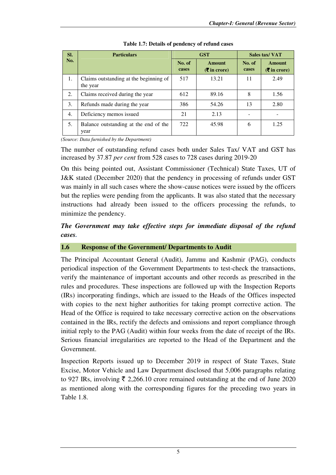| SI. | <b>Particulars</b>                                 |                 | <b>GST</b>                              | Sales tax/VAT   |                                         |
|-----|----------------------------------------------------|-----------------|-----------------------------------------|-----------------|-----------------------------------------|
| No. |                                                    | No. of<br>cases | Amount<br>$(5 \text{ in } \text{core})$ | No. of<br>cases | <b>Amount</b><br>$(5 \infty)$ in crore) |
| 1.  | Claims outstanding at the beginning of<br>the year | 517             | 13.21                                   | 11              | 2.49                                    |
| 2.  | Claims received during the year                    | 612             | 89.16                                   | 8               | 1.56                                    |
| 3.  | Refunds made during the year                       | 386             | 54.26                                   | 13              | 2.80                                    |
| 4.  | Deficiency memos issued                            | 21              | 2.13                                    |                 |                                         |
| 5.  | Balance outstanding at the end of the<br>year      | 722             | 45.98                                   | 6               | 1.25                                    |

#### **Table 1.7: Details of pendency of refund cases**

*(Source: Data furnished by the Department)* 

The number of outstanding refund cases both under Sales Tax/ VAT and GST has increased by 37.87 *per cent* from 528 cases to 728 cases during 2019-20

On this being pointed out, Assistant Commissioner (Technical) State Taxes, UT of J&K stated (December 2020) that the pendency in processing of refunds under GST was mainly in all such cases where the show-cause notices were issued by the officers but the replies were pending from the applicants. It was also stated that the necessary instructions had already been issued to the officers processing the refunds, to minimize the pendency.

## *The Government may take effective steps for immediate disposal of the refund cases.*

## **1.6 Response of the Government/ Departments to Audit**

The Principal Accountant General (Audit), Jammu and Kashmir (PAG), conducts periodical inspection of the Government Departments to test-check the transactions, verify the maintenance of important accounts and other records as prescribed in the rules and procedures. These inspections are followed up with the Inspection Reports (IRs) incorporating findings, which are issued to the Heads of the Offices inspected with copies to the next higher authorities for taking prompt corrective action. The Head of the Office is required to take necessary corrective action on the observations contained in the IRs, rectify the defects and omissions and report compliance through initial reply to the PAG (Audit) within four weeks from the date of receipt of the IRs. Serious financial irregularities are reported to the Head of the Department and the Government.

Inspection Reports issued up to December 2019 in respect of State Taxes, State Excise, Motor Vehicle and Law Department disclosed that 5,006 paragraphs relating to 927 IRs, involving  $\bar{\tau}$  2,266.10 crore remained outstanding at the end of June 2020 as mentioned along with the corresponding figures for the preceding two years in Table 1.8.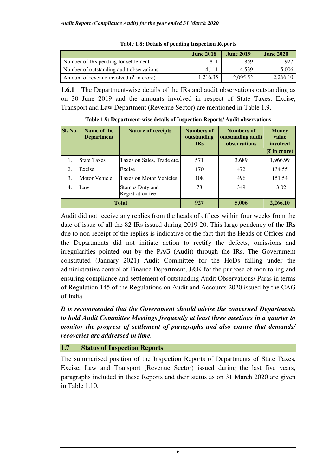|                                                             | <b>June 2018</b> | <b>June 2019</b> | <b>June 2020</b> |
|-------------------------------------------------------------|------------------|------------------|------------------|
| Number of IRs pending for settlement                        | 811              | 859              | 927              |
| Number of outstanding audit observations                    | 4.111            | 4.539            | 5,006            |
| Amount of revenue involved ( $\bar{\mathfrak{F}}$ in crore) | 1.216.35         | 2.095.52         | 2.266.10         |

| Table 1.8: Details of pending Inspection Reports |  |  |
|--------------------------------------------------|--|--|
|                                                  |  |  |

**1.6.1** The Department-wise details of the IRs and audit observations outstanding as on 30 June 2019 and the amounts involved in respect of State Taxes, Excise, Transport and Law Department (Revenue Sector) are mentioned in Table 1.9.

| <b>Sl. No.</b> | Name of the<br><b>Department</b> | <b>Nature of receipts</b>                  | <b>Numbers of</b><br>outstanding<br><b>IRs</b> | <b>Numbers of</b><br>outstanding audit<br>observations | <b>Money</b><br>value<br>involved<br>$(5 \text{ in } \text{core})$ |
|----------------|----------------------------------|--------------------------------------------|------------------------------------------------|--------------------------------------------------------|--------------------------------------------------------------------|
| 1.             | <b>State Taxes</b>               | Taxes on Sales, Trade etc.                 | 571                                            | 3,689                                                  | 1,966.99                                                           |
| 2.             | Excise                           | Excise                                     | 170                                            | 472                                                    | 134.55                                                             |
| 3.             | <b>Motor Vehicle</b>             | <b>Taxes on Motor Vehicles</b>             | 108                                            | 496                                                    | 151.54                                                             |
| 4.             | Law                              | <b>Stamps Duty and</b><br>Registration fee | 78                                             | 349                                                    | 13.02                                                              |
|                |                                  | <b>Total</b>                               | 927                                            | 5,006                                                  | 2,266.10                                                           |

**Table 1.9: Department-wise details of Inspection Reports/ Audit observations** 

Audit did not receive any replies from the heads of offices within four weeks from the date of issue of all the 82 IRs issued during 2019-20. This large pendency of the IRs due to non-receipt of the replies is indicative of the fact that the Heads of Offices and the Departments did not initiate action to rectify the defects, omissions and irregularities pointed out by the PAG (Audit) through the IRs. The Government constituted (January 2021) Audit Committee for the HoDs falling under the administrative control of Finance Department, J&K for the purpose of monitoring and ensuring compliance and settlement of outstanding Audit Observations/ Paras in terms of Regulation 145 of the Regulations on Audit and Accounts 2020 issued by the CAG of India.

*It is recommended that the Government should advise the concerned Departments to hold Audit Committee Meetings frequently at least three meetings in a quarter to monitor the progress of settlement of paragraphs and also ensure that demands/ recoveries are addressed in time.* 

## **1.7 Status of Inspection Reports**

The summarised position of the Inspection Reports of Departments of State Taxes, Excise, Law and Transport (Revenue Sector) issued during the last five years, paragraphs included in these Reports and their status as on 31 March 2020 are given in Table 1.10.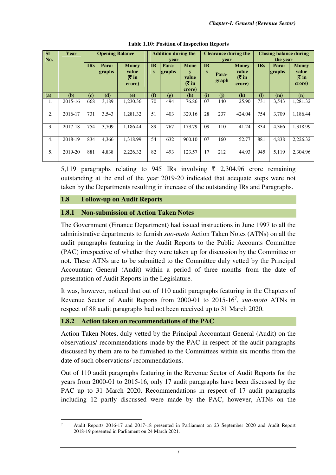| <b>SI</b><br>No. | Year    | <b>Opening Balance</b> |                 |                                                 | <b>Addition during the</b><br>vear |                 | <b>Clearance during the</b><br>vear     |                |                | <b>Closing balance during</b><br>the year |              |                 |                                          |
|------------------|---------|------------------------|-----------------|-------------------------------------------------|------------------------------------|-----------------|-----------------------------------------|----------------|----------------|-------------------------------------------|--------------|-----------------|------------------------------------------|
|                  |         | <b>IRs</b>             | Para-<br>graphs | <b>Money</b><br>value<br>$(5 \infty)$<br>crore) | <b>IR</b><br>S                     | Para-<br>graphs | <b>Mone</b><br>value<br>(₹ in<br>crore) | <b>IR</b><br>S | Para-<br>graph | <b>Money</b><br>value<br>(₹ in<br>crore)  | <b>IRs</b>   | Para-<br>graphs | <b>Money</b><br>value<br>(₹ in<br>crore) |
| (a)              | (b)     | (c)                    | (d)             | (e)                                             | (f)                                | (g)             | (h)                                     | (i)            | (i)            | $\mathbf{(k)}$                            | $\mathbf{I}$ | (m)             | (n)                                      |
| 1.               | 2015-16 | 668                    | 3.189           | 1.230.36                                        | 70                                 | 494             | 76.86                                   | 07             | 140            | 25.90                                     | 731          | 3,543           | 1,281.32                                 |
| 2.               | 2016-17 | 731                    | 3.543           | 1,281.32                                        | 51                                 | 403             | 329.16                                  | 28             | 237            | 424.04                                    | 754          | 3.709           | 1,186.44                                 |
| 3.               | 2017-18 | 754                    | 3.709           | 1.186.44                                        | 89                                 | 767             | 173.79                                  | 09             | 110            | 41.24                                     | 834          | 4.366           | 1.318.99                                 |
| 4.               | 2018-19 | 834                    | 4.366           | 1.318.99                                        | 54                                 | 632             | 960.10                                  | 07             | 160            | 52.77                                     | 881          | 4.838           | 2.226.32                                 |
| 5.               | 2019-20 | 881                    | 4,838           | 2,226.32                                        | 82                                 | 493             | 123.57                                  | 17             | 212            | 44.93                                     | 945          | 5.119           | 2,304.96                                 |

**Table 1.10: Position of Inspection Reports** 

5,119 paragraphs relating to 945 IRs involving  $\bar{\tau}$  2,304.96 crore remaining outstanding at the end of the year 2019-20 indicated that adequate steps were not taken by the Departments resulting in increase of the outstanding IRs and Paragraphs.

## **1.8 Follow-up on Audit Reports**

l

## **1.8.1 Non-submission of Action Taken Notes**

The Government (Finance Department) had issued instructions in June 1997 to all the administrative departments to furnish *suo-moto* Action Taken Notes (ATNs) on all the audit paragraphs featuring in the Audit Reports to the Public Accounts Committee (PAC) irrespective of whether they were taken up for discussion by the Committee or not. These ATNs are to be submitted to the Committee duly vetted by the Principal Accountant General (Audit) within a period of three months from the date of presentation of Audit Reports in the Legislature.

It was, however, noticed that out of 110 audit paragraphs featuring in the Chapters of Revenue Sector of Audit Reports from 2000-01 to 2015-16<sup>7</sup> , *suo-moto* ATNs in respect of 88 audit paragraphs had not been received up to 31 March 2020.

## **1.8.2 Action taken on recommendations of the PAC**

Action Taken Notes, duly vetted by the Principal Accountant General (Audit) on the observations/ recommendations made by the PAC in respect of the audit paragraphs discussed by them are to be furnished to the Committees within six months from the date of such observations/ recommendations.

Out of 110 audit paragraphs featuring in the Revenue Sector of Audit Reports for the years from 2000-01 to 2015-16, only 17 audit paragraphs have been discussed by the PAC up to 31 March 2020. Recommendations in respect of 17 audit paragraphs including 12 partly discussed were made by the PAC, however, ATNs on the

<sup>7</sup> Audit Reports 2016-17 and 2017-18 presented in Parliament on 23 September 2020 and Audit Report 2018-19 presented in Parliament on 24 March 2021.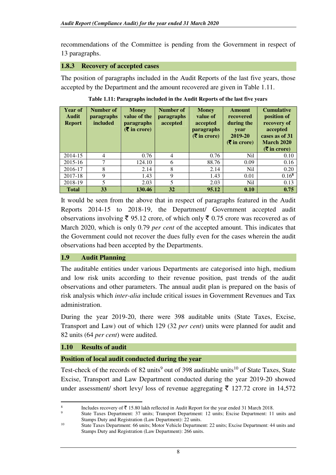recommendations of the Committee is pending from the Government in respect of 13 paragraphs.

## **1.8.3 Recovery of accepted cases**

The position of paragraphs included in the Audit Reports of the last five years, those accepted by the Department and the amount recovered are given in Table 1.11.

| <b>Year of</b><br>Audit<br><b>Report</b> | Number of<br><b>paragraphs</b><br>included | <b>Money</b><br>value of the<br>paragraphs<br>$(\bar{\bar{\mathbf{\mathsf{z}}}})$ in crore) | Number of<br><b>paragraphs</b><br>accepted | <b>Money</b><br>value of<br>accepted<br><b>paragraphs</b><br>$(\bar{\bar{\mathbf{\mathsf{z}}}})$ in crore) | Amount<br>recovered<br>during the<br>year<br>2019-20<br>$(\overline{\mathbf{\overline{z}}}$ in crore) | <b>Cumulative</b><br>position of<br>recovery of<br>accepted<br>cases as of 31<br><b>March 2020</b><br>$(\bar{\bar{\mathbf{\mathsf{z}}}})$ in crore) |
|------------------------------------------|--------------------------------------------|---------------------------------------------------------------------------------------------|--------------------------------------------|------------------------------------------------------------------------------------------------------------|-------------------------------------------------------------------------------------------------------|-----------------------------------------------------------------------------------------------------------------------------------------------------|
| 2014-15                                  | $\overline{4}$                             | 0.76                                                                                        | $\overline{4}$                             | 0.76                                                                                                       | N <sub>i</sub> l                                                                                      | 0.10                                                                                                                                                |
| 2015-16                                  | 7                                          | 124.10                                                                                      | 6                                          | 88.76                                                                                                      | 0.09                                                                                                  | 0.16                                                                                                                                                |
| 2016-17                                  | 8                                          | 2.14                                                                                        | 8                                          | 2.14                                                                                                       | N <sub>i</sub>                                                                                        | 0.20                                                                                                                                                |
| 2017-18                                  | 9                                          | 1.43                                                                                        | 9                                          | 1.43                                                                                                       | 0.01                                                                                                  | $0.16^{8}$                                                                                                                                          |
| 2018-19                                  | 5                                          | 2.03                                                                                        | 5                                          | 2.03                                                                                                       | N <sub>i</sub> l                                                                                      | 0.13                                                                                                                                                |
| <b>Total</b>                             | 33                                         | 130.46                                                                                      | 32                                         | 95.12                                                                                                      | 0.10                                                                                                  | 0.75                                                                                                                                                |

**Table 1.11: Paragraphs included in the Audit Reports of the last five years**

It would be seen from the above that in respect of paragraphs featured in the Audit Reports 2014-15 to 2018-19, the Department/ Government accepted audit observations involving  $\bar{\xi}$  95.12 crore, of which only  $\bar{\xi}$  0.75 crore was recovered as of March 2020, which is only 0.79 *per cent* of the accepted amount. This indicates that the Government could not recover the dues fully even for the cases wherein the audit observations had been accepted by the Departments.

## **1.9 Audit Planning**

The auditable entities under various Departments are categorised into high, medium and low risk units according to their revenue position, past trends of the audit observations and other parameters. The annual audit plan is prepared on the basis of risk analysis which *inter-alia* include critical issues in Government Revenues and Tax administration.

During the year 2019-20, there were 398 auditable units (State Taxes, Excise, Transport and Law) out of which 129 (32 *per cent*) units were planned for audit and 82 units (64 *per cent*) were audited.

## **1.10 Results of audit**

l

## **Position of local audit conducted during the year**

Test-check of the records of 82 units<sup>9</sup> out of 398 auditable units<sup>10</sup> of State Taxes, State Excise, Transport and Law Department conducted during the year 2019-20 showed under assessment/ short levy/ loss of revenue aggregating  $\bar{\tau}$  127.72 crore in 14,572

<sup>8</sup> Includes recovery of  $\bar{\mathfrak{F}}$  15.80 lakh reflected in Audit Report for the year ended 31 March 2018.

 $\overline{9}$  State Taxes Department: 37 units; Transport Department: 12 units; Excise Department: 11 units and Stamps Duty and Registration (Law Department): 22 units.<br><sup>10</sup> State Persee Department: 66 units: Mater Vabiele Department

<sup>10</sup> State Taxes Department: 66 units; Motor Vehicle Department: 22 units; Excise Department: 44 units and Stamps Duty and Registration (Law Department): 266 units.